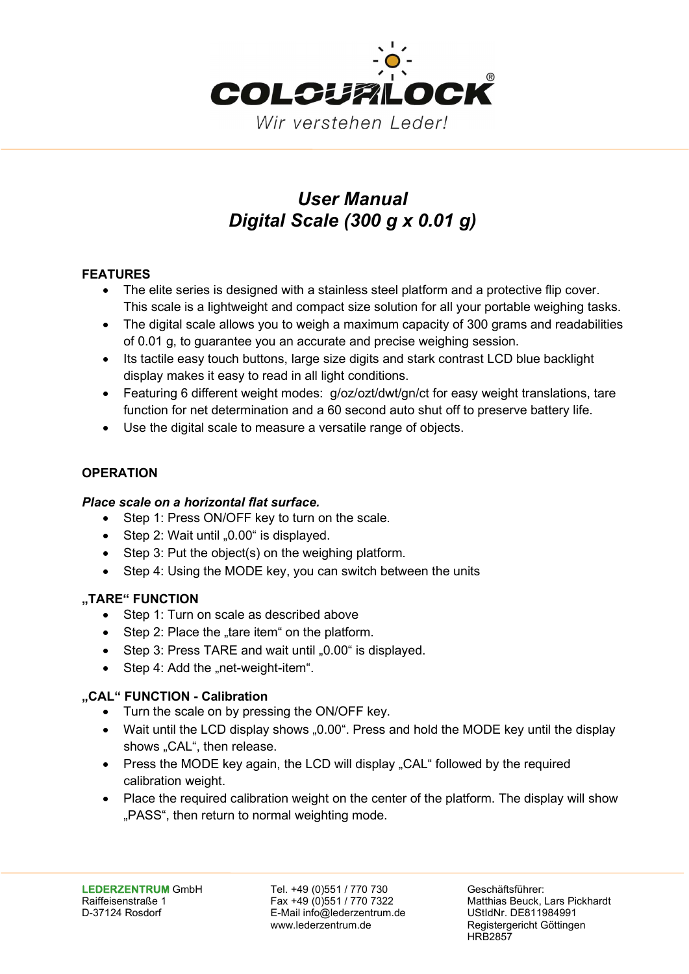

# User Manual Digital Scale (300 g x 0.01 g)

# FEATURES

- The elite series is designed with a stainless steel platform and a protective flip cover. This scale is a lightweight and compact size solution for all your portable weighing tasks.
- The digital scale allows you to weigh a maximum capacity of 300 grams and readabilities of 0.01 g, to guarantee you an accurate and precise weighing session.
- Its tactile easy touch buttons, large size digits and stark contrast LCD blue backlight display makes it easy to read in all light conditions.
- Featuring 6 different weight modes: g/oz/ozt/dwt/gn/ct for easy weight translations, tare function for net determination and a 60 second auto shut off to preserve battery life.
- Use the digital scale to measure a versatile range of objects.

# **OPERATION**

### Place scale on a horizontal flat surface.

- Step 1: Press ON/OFF key to turn on the scale.
- $\bullet$  Step 2: Wait until "0.00" is displayed.
- Step 3: Put the object(s) on the weighing platform.
- Step 4: Using the MODE key, you can switch between the units

### "TARE" FUNCTION

- Step 1: Turn on scale as described above
- $\bullet$  Step 2: Place the ..tare item on the platform.
- $\bullet$  Step 3: Press TARE and wait until "0.00" is displayed.
- Step 4: Add the "net-weight-item".

### "CAL" FUNCTION - Calibration

- Turn the scale on by pressing the ON/OFF key.
- Wait until the LCD display shows "0.00". Press and hold the MODE key until the display shows "CAL", then release.
- Press the MODE key again, the LCD will display "CAL" followed by the required calibration weight.
- Place the required calibration weight on the center of the platform. The display will show "PASS", then return to normal weighting mode.

LEDERZENTRUM GmbH Tel. +49 (0)551 / 770 730 Geschäftsführer: D-37124 Rosdorf E-Mail info@lederzentrum.de UStIdNr. DE811984991 www.lederzentrum.de Registergericht Göttingen